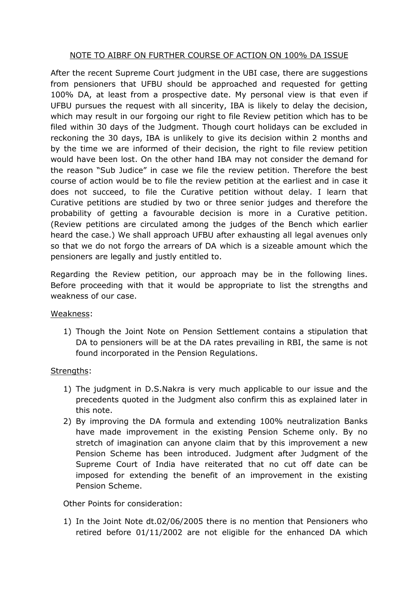## NOTE TO AIBRF ON FURTHER COURSE OF ACTION ON 100% DA ISSUE

After the recent Supreme Court judgment in the UBI case, there are suggestions from pensioners that UFBU should be approached and requested for getting 100% DA, at least from a prospective date. My personal view is that even if UFBU pursues the request with all sincerity, IBA is likely to delay the decision, which may result in our forgoing our right to file Review petition which has to be filed within 30 days of the Judgment. Though court holidays can be excluded in reckoning the 30 days, IBA is unlikely to give its decision within 2 months and by the time we are informed of their decision, the right to file review petition would have been lost. On the other hand IBA may not consider the demand for the reason "Sub Judice" in case we file the review petition. Therefore the best course of action would be to file the review petition at the earliest and in case it does not succeed, to file the Curative petition without delay. I learn that Curative petitions are studied by two or three senior judges and therefore the probability of getting a favourable decision is more in a Curative petition. (Review petitions are circulated among the judges of the Bench which earlier heard the case.) We shall approach UFBU after exhausting all legal avenues only so that we do not forgo the arrears of DA which is a sizeable amount which the pensioners are legally and justly entitled to.

Regarding the Review petition, our approach may be in the following lines. Before proceeding with that it would be appropriate to list the strengths and weakness of our case.

## Weakness:

1) Though the Joint Note on Pension Settlement contains a stipulation that DA to pensioners will be at the DA rates prevailing in RBI, the same is not found incorporated in the Pension Regulations.

## Strengths:

- 1) The judgment in D.S.Nakra is very much applicable to our issue and the precedents quoted in the Judgment also confirm this as explained later in this note.
- 2) By improving the DA formula and extending 100% neutralization Banks have made improvement in the existing Pension Scheme only. By no stretch of imagination can anyone claim that by this improvement a new Pension Scheme has been introduced. Judgment after Judgment of the Supreme Court of India have reiterated that no cut off date can be imposed for extending the benefit of an improvement in the existing Pension Scheme.

Other Points for consideration:

1) In the Joint Note dt.02/06/2005 there is no mention that Pensioners who retired before 01/11/2002 are not eligible for the enhanced DA which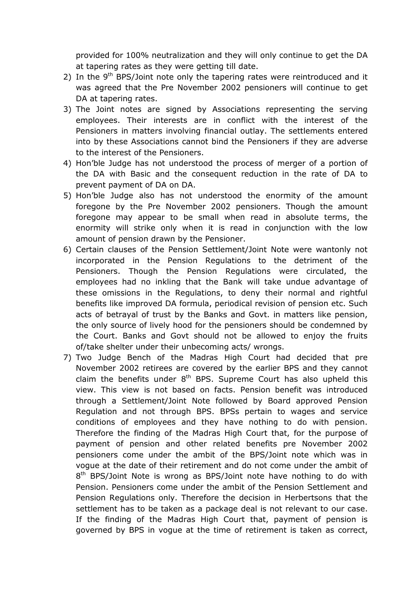provided for 100% neutralization and they will only continue to get the DA at tapering rates as they were getting till date.

- 2) In the  $9<sup>th</sup>$  BPS/Joint note only the tapering rates were reintroduced and it was agreed that the Pre November 2002 pensioners will continue to get DA at tapering rates.
- 3) The Joint notes are signed by Associations representing the serving employees. Their interests are in conflict with the interest of the Pensioners in matters involving financial outlay. The settlements entered into by these Associations cannot bind the Pensioners if they are adverse to the interest of the Pensioners.
- 4) Hon'ble Judge has not understood the process of merger of a portion of the DA with Basic and the consequent reduction in the rate of DA to prevent payment of DA on DA.
- 5) Hon'ble Judge also has not understood the enormity of the amount foregone by the Pre November 2002 pensioners. Though the amount foregone may appear to be small when read in absolute terms, the enormity will strike only when it is read in conjunction with the low amount of pension drawn by the Pensioner.
- 6) Certain clauses of the Pension Settlement/Joint Note were wantonly not incorporated in the Pension Regulations to the detriment of the Pensioners. Though the Pension Regulations were circulated, the employees had no inkling that the Bank will take undue advantage of these omissions in the Regulations, to deny their normal and rightful benefits like improved DA formula, periodical revision of pension etc. Such acts of betrayal of trust by the Banks and Govt. in matters like pension, the only source of lively hood for the pensioners should be condemned by the Court. Banks and Govt should not be allowed to enjoy the fruits of/take shelter under their unbecoming acts/ wrongs.
- 7) Two Judge Bench of the Madras High Court had decided that pre November 2002 retirees are covered by the earlier BPS and they cannot claim the benefits under  $8<sup>th</sup>$  BPS. Supreme Court has also upheld this view. This view is not based on facts. Pension benefit was introduced through a Settlement/Joint Note followed by Board approved Pension Regulation and not through BPS. BPSs pertain to wages and service conditions of employees and they have nothing to do with pension. Therefore the finding of the Madras High Court that, for the purpose of payment of pension and other related benefits pre November 2002 pensioners come under the ambit of the BPS/Joint note which was in vogue at the date of their retirement and do not come under the ambit of 8<sup>th</sup> BPS/Joint Note is wrong as BPS/Joint note have nothing to do with Pension. Pensioners come under the ambit of the Pension Settlement and Pension Regulations only. Therefore the decision in Herbertsons that the settlement has to be taken as a package deal is not relevant to our case. If the finding of the Madras High Court that, payment of pension is governed by BPS in vogue at the time of retirement is taken as correct,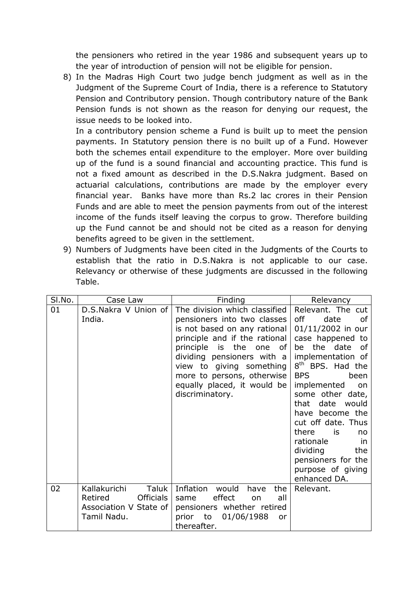the pensioners who retired in the year 1986 and subsequent years up to the year of introduction of pension will not be eligible for pension.

8) In the Madras High Court two judge bench judgment as well as in the Judgment of the Supreme Court of India, there is a reference to Statutory Pension and Contributory pension. Though contributory nature of the Bank Pension funds is not shown as the reason for denying our request, the issue needs to be looked into.

In a contributory pension scheme a Fund is built up to meet the pension payments. In Statutory pension there is no built up of a Fund. However both the schemes entail expenditure to the employer. More over building up of the fund is a sound financial and accounting practice. This fund is not a fixed amount as described in the D.S.Nakra judgment. Based on actuarial calculations, contributions are made by the employer every financial year. Banks have more than Rs.2 lac crores in their Pension Funds and are able to meet the pension payments from out of the interest income of the funds itself leaving the corpus to grow. Therefore building up the Fund cannot be and should not be cited as a reason for denying benefits agreed to be given in the settlement.

9) Numbers of Judgments have been cited in the Judgments of the Courts to establish that the ratio in D.S.Nakra is not applicable to our case. Relevancy or otherwise of these judgments are discussed in the following Table.

| SI.No. | Case Law                                                                                      | Finding                                                                                                                                                                                                                                                                                                  | Relevancy                                                                                                                                                                                                                                                                                                                                                                                                      |
|--------|-----------------------------------------------------------------------------------------------|----------------------------------------------------------------------------------------------------------------------------------------------------------------------------------------------------------------------------------------------------------------------------------------------------------|----------------------------------------------------------------------------------------------------------------------------------------------------------------------------------------------------------------------------------------------------------------------------------------------------------------------------------------------------------------------------------------------------------------|
| 01     | D.S.Nakra V Union of<br>India.                                                                | The division which classified<br>pensioners into two classes<br>is not based on any rational<br>principle and if the rational<br>principle is the<br>οf<br>one<br>dividing pensioners with a<br>view to giving something<br>more to persons, otherwise<br>equally placed, it would be<br>discriminatory. | Relevant. The cut<br>off<br>date<br>οf<br>01/11/2002 in our<br>case happened to<br>be the date of<br>implementation of<br>8 <sup>th</sup> BPS. Had the<br><b>BPS</b><br>been<br>implemented<br>on<br>some other date,<br>date<br>that<br>would<br>have become the<br>cut off date. Thus<br>there<br>is<br>no<br>rationale<br>.in<br>dividing<br>the<br>pensioners for the<br>purpose of giving<br>enhanced DA. |
| 02     | Kallakurichi<br>Taluk<br><b>Officials</b><br>Retired<br>Association V State of<br>Tamil Nadu. | Inflation would<br>the<br>have<br>effect<br>all<br>same<br>on<br>pensioners whether retired<br>prior to<br>01/06/1988<br>or<br>thereafter.                                                                                                                                                               | Relevant.                                                                                                                                                                                                                                                                                                                                                                                                      |